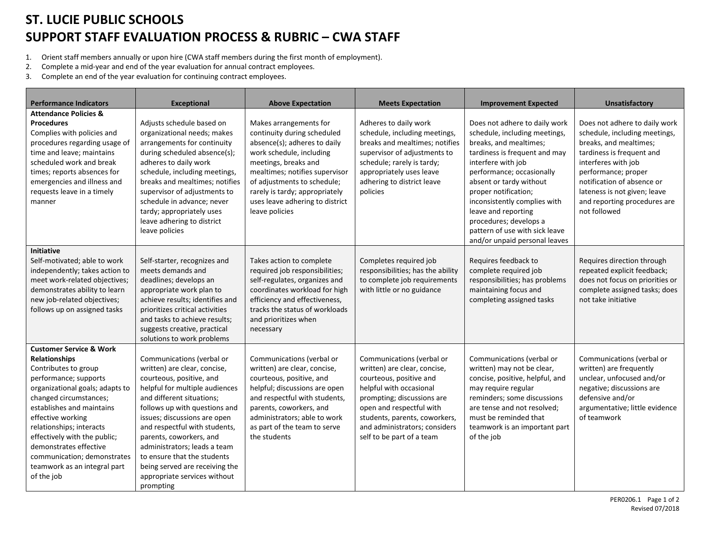## **ST. LUCIE PUBLIC SCHOOLS SUPPORT STAFF EVALUATION PROCESS & RUBRIC – CWA STAFF**

- 1. Orient staff members annually or upon hire (CWA staff members during the first month of employment).
- 2. Complete a mid-year and end of the year evaluation for annual contract employees.
- 3. Complete an end of the year evaluation for continuing contract employees.

| <b>Performance Indicators</b>                                                                                                                                                                                                                                                                                                                                                                 | <b>Exceptional</b>                                                                                                                                                                                                                                                                                                                                                                                                              | <b>Above Expectation</b>                                                                                                                                                                                                                                                                          | <b>Meets Expectation</b>                                                                                                                                                                                                                                                 | <b>Improvement Expected</b>                                                                                                                                                                                                                                                                                                                                                         | <b>Unsatisfactory</b>                                                                                                                                                                                                                                                             |
|-----------------------------------------------------------------------------------------------------------------------------------------------------------------------------------------------------------------------------------------------------------------------------------------------------------------------------------------------------------------------------------------------|---------------------------------------------------------------------------------------------------------------------------------------------------------------------------------------------------------------------------------------------------------------------------------------------------------------------------------------------------------------------------------------------------------------------------------|---------------------------------------------------------------------------------------------------------------------------------------------------------------------------------------------------------------------------------------------------------------------------------------------------|--------------------------------------------------------------------------------------------------------------------------------------------------------------------------------------------------------------------------------------------------------------------------|-------------------------------------------------------------------------------------------------------------------------------------------------------------------------------------------------------------------------------------------------------------------------------------------------------------------------------------------------------------------------------------|-----------------------------------------------------------------------------------------------------------------------------------------------------------------------------------------------------------------------------------------------------------------------------------|
| <b>Attendance Policies &amp;</b><br><b>Procedures</b><br>Complies with policies and<br>procedures regarding usage of<br>time and leave; maintains<br>scheduled work and break<br>times; reports absences for<br>emergencies and illness and<br>requests leave in a timely<br>manner                                                                                                           | Adjusts schedule based on<br>organizational needs; makes<br>arrangements for continuity<br>during scheduled absence(s);<br>adheres to daily work<br>schedule, including meetings,<br>breaks and mealtimes; notifies<br>supervisor of adjustments to<br>schedule in advance; never<br>tardy; appropriately uses<br>leave adhering to district<br>leave policies                                                                  | Makes arrangements for<br>continuity during scheduled<br>absence(s); adheres to daily<br>work schedule, including<br>meetings, breaks and<br>mealtimes; notifies supervisor<br>of adjustments to schedule;<br>rarely is tardy; appropriately<br>uses leave adhering to district<br>leave policies | Adheres to daily work<br>schedule, including meetings,<br>breaks and mealtimes; notifies<br>supervisor of adjustments to<br>schedule; rarely is tardy;<br>appropriately uses leave<br>adhering to district leave<br>policies                                             | Does not adhere to daily work<br>schedule, including meetings,<br>breaks, and mealtimes;<br>tardiness is frequent and may<br>interfere with job<br>performance; occasionally<br>absent or tardy without<br>proper notification;<br>inconsistently complies with<br>leave and reporting<br>procedures; develops a<br>pattern of use with sick leave<br>and/or unpaid personal leaves | Does not adhere to daily work<br>schedule, including meetings,<br>breaks, and mealtimes;<br>tardiness is frequent and<br>interferes with job<br>performance; proper<br>notification of absence or<br>lateness is not given; leave<br>and reporting procedures are<br>not followed |
| Initiative<br>Self-motivated; able to work<br>independently; takes action to<br>meet work-related objectives;<br>demonstrates ability to learn<br>new job-related objectives;<br>follows up on assigned tasks                                                                                                                                                                                 | Self-starter, recognizes and<br>meets demands and<br>deadlines; develops an<br>appropriate work plan to<br>achieve results; identifies and<br>prioritizes critical activities<br>and tasks to achieve results;<br>suggests creative, practical<br>solutions to work problems                                                                                                                                                    | Takes action to complete<br>required job responsibilities;<br>self-regulates, organizes and<br>coordinates workload for high<br>efficiency and effectiveness,<br>tracks the status of workloads<br>and prioritizes when<br>necessary                                                              | Completes required job<br>responsibilities; has the ability<br>to complete job requirements<br>with little or no guidance                                                                                                                                                | Requires feedback to<br>complete required job<br>responsibilities; has problems<br>maintaining focus and<br>completing assigned tasks                                                                                                                                                                                                                                               | Requires direction through<br>repeated explicit feedback;<br>does not focus on priorities or<br>complete assigned tasks; does<br>not take initiative                                                                                                                              |
| <b>Customer Service &amp; Work</b><br><b>Relationships</b><br>Contributes to group<br>performance; supports<br>organizational goals; adapts to<br>changed circumstances;<br>establishes and maintains<br>effective working<br>relationships; interacts<br>effectively with the public;<br>demonstrates effective<br>communication; demonstrates<br>teamwork as an integral part<br>of the job | Communications (verbal or<br>written) are clear, concise,<br>courteous, positive, and<br>helpful for multiple audiences<br>and different situations;<br>follows up with questions and<br>issues; discussions are open<br>and respectful with students,<br>parents, coworkers, and<br>administrators; leads a team<br>to ensure that the students<br>being served are receiving the<br>appropriate services without<br>prompting | Communications (verbal or<br>written) are clear, concise,<br>courteous, positive, and<br>helpful; discussions are open<br>and respectful with students,<br>parents, coworkers, and<br>administrators; able to work<br>as part of the team to serve<br>the students                                | Communications (verbal or<br>written) are clear, concise,<br>courteous, positive and<br>helpful with occasional<br>prompting; discussions are<br>open and respectful with<br>students, parents, coworkers,<br>and administrators; considers<br>self to be part of a team | Communications (verbal or<br>written) may not be clear,<br>concise, positive, helpful, and<br>may require regular<br>reminders; some discussions<br>are tense and not resolved;<br>must be reminded that<br>teamwork is an important part<br>of the job                                                                                                                             | Communications (verbal or<br>written) are frequently<br>unclear, unfocused and/or<br>negative; discussions are<br>defensive and/or<br>argumentative; little evidence<br>of teamwork                                                                                               |